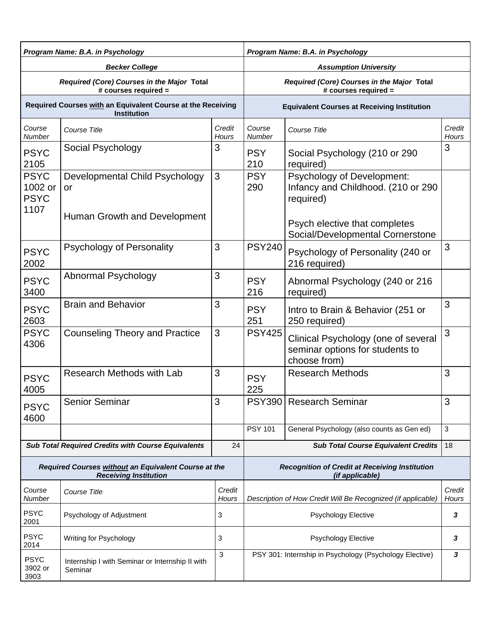| Program Name: B.A. in Psychology                                                     |                                                            | Program Name: B.A. in Psychology                                         |                                                                    |                                                                                        |                 |  |
|--------------------------------------------------------------------------------------|------------------------------------------------------------|--------------------------------------------------------------------------|--------------------------------------------------------------------|----------------------------------------------------------------------------------------|-----------------|--|
| <b>Becker College</b>                                                                |                                                            |                                                                          | <b>Assumption University</b>                                       |                                                                                        |                 |  |
| Required (Core) Courses in the Major Total<br>$#$ courses required $=$               |                                                            |                                                                          | Required (Core) Courses in the Major Total<br># courses required = |                                                                                        |                 |  |
| Required Courses with an Equivalent Course at the Receiving<br><b>Institution</b>    |                                                            | <b>Equivalent Courses at Receiving Institution</b>                       |                                                                    |                                                                                        |                 |  |
| Course<br>Number                                                                     | Course Title                                               | Credit<br>Hours                                                          | Course<br>Number                                                   | Course Title                                                                           | Credit<br>Hours |  |
| <b>PSYC</b><br>2105                                                                  | Social Psychology                                          | 3                                                                        | <b>PSY</b><br>210                                                  | Social Psychology (210 or 290<br>required)                                             | 3               |  |
| <b>PSYC</b><br>1002 or<br><b>PSYC</b>                                                | Developmental Child Psychology<br>or                       | 3                                                                        | <b>PSY</b><br>290                                                  | Psychology of Development:<br>Infancy and Childhood. (210 or 290<br>required)          |                 |  |
| 1107                                                                                 | Human Growth and Development                               |                                                                          |                                                                    | Psych elective that completes<br>Social/Developmental Cornerstone                      |                 |  |
| <b>PSYC</b><br>2002                                                                  | Psychology of Personality                                  | 3                                                                        | <b>PSY240</b>                                                      | Psychology of Personality (240 or<br>216 required)                                     | 3               |  |
| <b>PSYC</b><br>3400                                                                  | Abnormal Psychology                                        | 3                                                                        | <b>PSY</b><br>216                                                  | Abnormal Psychology (240 or 216<br>required)                                           |                 |  |
| <b>PSYC</b><br>2603                                                                  | <b>Brain and Behavior</b>                                  | 3                                                                        | <b>PSY</b><br>251                                                  | Intro to Brain & Behavior (251 or<br>250 required)                                     | 3               |  |
| <b>PSYC</b><br>4306                                                                  | <b>Counseling Theory and Practice</b>                      | 3                                                                        | <b>PSY425</b>                                                      | Clinical Psychology (one of several<br>seminar options for students to<br>choose from) | 3               |  |
| <b>PSYC</b><br>4005                                                                  | <b>Research Methods with Lab</b>                           | 3                                                                        | <b>PSY</b><br>225                                                  | <b>Research Methods</b>                                                                | 3               |  |
| <b>PSYC</b><br>4600                                                                  | Senior Seminar                                             | 3                                                                        |                                                                    | PSY390 Research Seminar                                                                | 3               |  |
|                                                                                      |                                                            |                                                                          | <b>PSY 101</b>                                                     | General Psychology (also counts as Gen ed)                                             | 3               |  |
| <b>Sub Total Required Credits with Course Equivalents</b>                            |                                                            | 24                                                                       |                                                                    | <b>Sub Total Course Equivalent Credits</b>                                             | 18              |  |
| Required Courses without an Equivalent Course at the<br><b>Receiving Institution</b> |                                                            | <b>Recognition of Credit at Receiving Institution</b><br>(if applicable) |                                                                    |                                                                                        |                 |  |
| Course<br>Number                                                                     | Course Title                                               | Credit<br>Hours                                                          | Description of How Credit Will Be Recognized (if applicable)       |                                                                                        | Credit<br>Hours |  |
| <b>PSYC</b><br>2001                                                                  | Psychology of Adjustment                                   | 3                                                                        | 3<br><b>Psychology Elective</b>                                    |                                                                                        |                 |  |
| <b>PSYC</b><br>2014                                                                  | Writing for Psychology                                     | 3                                                                        | <b>Psychology Elective</b><br>3                                    |                                                                                        |                 |  |
| <b>PSYC</b><br>3902 or<br>3903                                                       | Internship I with Seminar or Internship II with<br>Seminar | 3                                                                        | PSY 301: Internship in Psychology (Psychology Elective)<br>3       |                                                                                        |                 |  |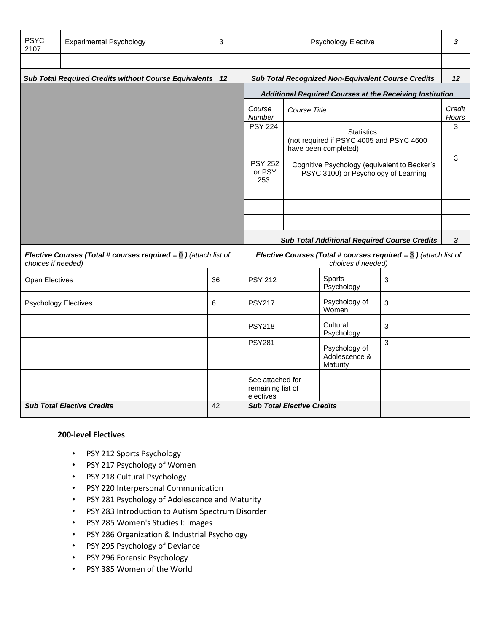| <b>PSYC</b><br>2107                                                                                                  | <b>Experimental Psychology</b>                             | 3  | Psychology Elective                                                                      |                                                                                       |                                                     | 3 |                 |
|----------------------------------------------------------------------------------------------------------------------|------------------------------------------------------------|----|------------------------------------------------------------------------------------------|---------------------------------------------------------------------------------------|-----------------------------------------------------|---|-----------------|
|                                                                                                                      |                                                            |    |                                                                                          |                                                                                       |                                                     |   |                 |
|                                                                                                                      | Sub Total Required Credits without Course Equivalents   12 |    |                                                                                          | <b>Sub Total Recognized Non-Equivalent Course Credits</b>                             |                                                     |   | 12              |
|                                                                                                                      |                                                            |    |                                                                                          | Additional Required Courses at the Receiving Institution                              |                                                     |   |                 |
|                                                                                                                      |                                                            |    | Course<br>Number                                                                         | Course Title                                                                          |                                                     |   | Credit<br>Hours |
|                                                                                                                      |                                                            |    | <b>PSY 224</b>                                                                           | <b>Statistics</b><br>(not required if PSYC 4005 and PSYC 4600<br>have been completed) |                                                     |   | 3               |
|                                                                                                                      |                                                            |    | <b>PSY 252</b><br>or PSY<br>253                                                          | Cognitive Psychology (equivalent to Becker's<br>PSYC 3100) or Psychology of Learning  |                                                     |   | 3               |
|                                                                                                                      |                                                            |    |                                                                                          |                                                                                       |                                                     |   |                 |
|                                                                                                                      |                                                            |    |                                                                                          |                                                                                       |                                                     |   |                 |
|                                                                                                                      |                                                            |    |                                                                                          |                                                                                       |                                                     |   |                 |
|                                                                                                                      |                                                            |    |                                                                                          |                                                                                       | <b>Sub Total Additional Required Course Credits</b> |   | $\mathbf{3}$    |
| <b>Elective Courses (Total # courses required = <math>\overline{0}</math>)</b> (attach list of<br>choices if needed) |                                                            |    | Elective Courses (Total # courses required = $3$ ) (attach list of<br>choices if needed) |                                                                                       |                                                     |   |                 |
| Open Electives                                                                                                       |                                                            | 36 | <b>PSY 212</b>                                                                           |                                                                                       | Sports<br>Psychology                                | 3 |                 |
| <b>Psychology Electives</b>                                                                                          |                                                            | 6  | <b>PSY217</b>                                                                            |                                                                                       | Psychology of<br>Women                              | 3 |                 |
|                                                                                                                      |                                                            |    | <b>PSY218</b>                                                                            |                                                                                       | Cultural<br>Psychology                              | 3 |                 |
|                                                                                                                      |                                                            |    | <b>PSY281</b>                                                                            |                                                                                       | Psychology of<br>Adolescence &<br>Maturity          | 3 |                 |
|                                                                                                                      |                                                            |    | See attached for<br>remaining list of<br>electives                                       |                                                                                       |                                                     |   |                 |
| <b>Sub Total Elective Credits</b>                                                                                    |                                                            | 42 | <b>Sub Total Elective Credits</b>                                                        |                                                                                       |                                                     |   |                 |

## **200-level Electives**

- PSY 212 Sports Psychology
- PSY 217 Psychology of Women
- PSY 218 Cultural Psychology
- PSY 220 Interpersonal Communication
- PSY 281 Psychology of Adolescence and Maturity
- PSY 283 Introduction to Autism Spectrum Disorder
- PSY 285 Women's Studies I: Images
- PSY 286 Organization & Industrial Psychology
- PSY 295 Psychology of Deviance
- PSY 296 Forensic Psychology
- PSY 385 Women of the World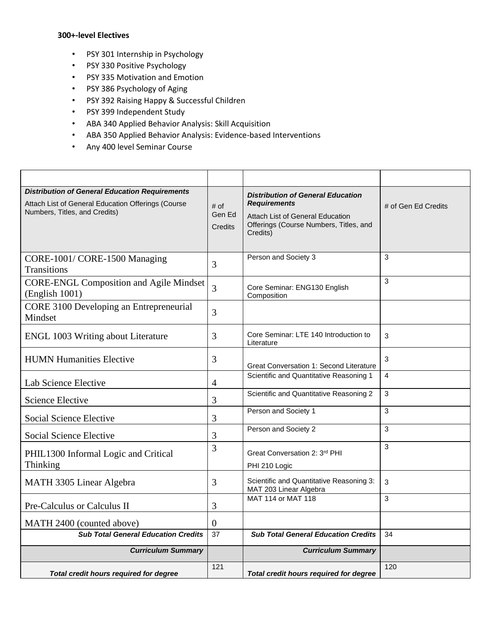## **300+-level Electives**

- PSY 301 Internship in Psychology
- PSY 330 Positive Psychology
- PSY 335 Motivation and Emotion
- PSY 386 Psychology of Aging
- PSY 392 Raising Happy & Successful Children
- PSY 399 Independent Study
- ABA 340 Applied Behavior Analysis: Skill Acquisition
- ABA 350 Applied Behavior Analysis: Evidence-based Interventions
- Any 400 level Seminar Course

| <b>Distribution of General Education Requirements</b><br>Attach List of General Education Offerings (Course<br>Numbers, Titles, and Credits) | # of<br>Gen Ed<br>Credits | <b>Distribution of General Education</b><br><b>Requirements</b><br><b>Attach List of General Education</b><br>Offerings (Course Numbers, Titles, and<br>Credits) | # of Gen Ed Credits |
|----------------------------------------------------------------------------------------------------------------------------------------------|---------------------------|------------------------------------------------------------------------------------------------------------------------------------------------------------------|---------------------|
| CORE-1001/CORE-1500 Managing<br><b>Transitions</b>                                                                                           | 3                         | Person and Society 3                                                                                                                                             | 3                   |
| <b>CORE-ENGL Composition and Agile Mindset</b><br>(English 1001)                                                                             | $\overline{3}$            | Core Seminar: ENG130 English<br>Composition                                                                                                                      | 3                   |
| CORE 3100 Developing an Entrepreneurial<br>Mindset                                                                                           | 3                         |                                                                                                                                                                  |                     |
| ENGL 1003 Writing about Literature                                                                                                           | 3                         | Core Seminar: LTE 140 Introduction to<br>Literature                                                                                                              | 3                   |
| <b>HUMN Humanities Elective</b>                                                                                                              | 3                         | <b>Great Conversation 1: Second Literature</b>                                                                                                                   | 3                   |
| Lab Science Elective                                                                                                                         | $\overline{4}$            | Scientific and Quantitative Reasoning 1                                                                                                                          | 4                   |
| <b>Science Elective</b>                                                                                                                      | 3                         | Scientific and Quantitative Reasoning 2                                                                                                                          | 3                   |
| Social Science Elective                                                                                                                      | 3                         | Person and Society 1                                                                                                                                             | 3                   |
| Social Science Elective                                                                                                                      | 3                         | Person and Society 2                                                                                                                                             | 3                   |
| PHIL1300 Informal Logic and Critical<br>Thinking                                                                                             | 3                         | Great Conversation 2: 3rd PHI<br>PHI 210 Logic                                                                                                                   | 3                   |
| MATH 3305 Linear Algebra                                                                                                                     | 3                         | Scientific and Quantitative Reasoning 3:<br>MAT 203 Linear Algebra                                                                                               | 3                   |
| Pre-Calculus or Calculus II                                                                                                                  | 3                         | MAT 114 or MAT 118                                                                                                                                               | 3                   |
| MATH 2400 (counted above)                                                                                                                    | $\mathbf{0}$              |                                                                                                                                                                  |                     |
| <b>Sub Total General Education Credits</b>                                                                                                   | 37                        | <b>Sub Total General Education Credits</b>                                                                                                                       | 34                  |
| <b>Curriculum Summary</b>                                                                                                                    |                           | <b>Curriculum Summary</b>                                                                                                                                        |                     |
| Total credit hours required for degree                                                                                                       | 121                       | Total credit hours required for degree                                                                                                                           | 120                 |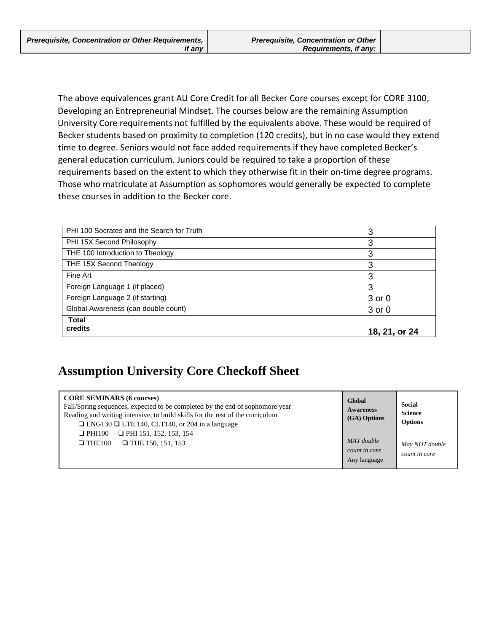The above equivalences grant AU Core Credit for all Becker Core courses except for CORE 3100, Developing an Entrepreneurial Mindset. The courses below are the remaining Assumption University Core requirements not fulfilled by the equivalents above. These would be required of Becker students based on proximity to completion (120 credits), but in no case would they extend time to degree. Seniors would not face added requirements if they have completed Becker's general education curriculum. Juniors could be required to take a proportion of these requirements based on the extent to which they otherwise fit in their on-time degree programs. Those who matriculate at Assumption as sophomores would generally be expected to complete these courses in addition to the Becker core.

| PHI 100 Socrates and the Search for Truth | 3             |
|-------------------------------------------|---------------|
| PHI 15X Second Philosophy                 | 3             |
| THE 100 Introduction to Theology          | 3             |
| THE 15X Second Theology                   | 3             |
| Fine Art                                  | 3             |
| Foreign Language 1 (if placed)            | 3             |
| Foreign Language 2 (if starting)          | 3 or 0        |
| Global Awareness (can double count)       | 3 or 0        |
| <b>Total</b>                              |               |
| credits                                   | 18, 21, or 24 |

## **Assumption University Core Checkoff Sheet**

| <b>CORE SEMINARS (6 courses)</b><br>Fall/Spring sequences, expected to be completed by the end of sophomore year<br>Reading and writing intensive, to build skills for the rest of the curriculum<br>$\Box$ ENG130 $\Box$ LTE 140, CLT140, or 204 in a language | Global<br><b>Awareness</b><br>(GA) Options  | <b>Social</b><br><b>Science</b><br><b>Options</b> |
|-----------------------------------------------------------------------------------------------------------------------------------------------------------------------------------------------------------------------------------------------------------------|---------------------------------------------|---------------------------------------------------|
| $\Box$ PHI 151, 152, 153, 154<br>$\Box$ PHI100<br>$\Box$ THE 150, 151, 153<br>$\Box$ THE100                                                                                                                                                                     | MAY double<br>count in core<br>Any language | May NOT double<br>count in core                   |